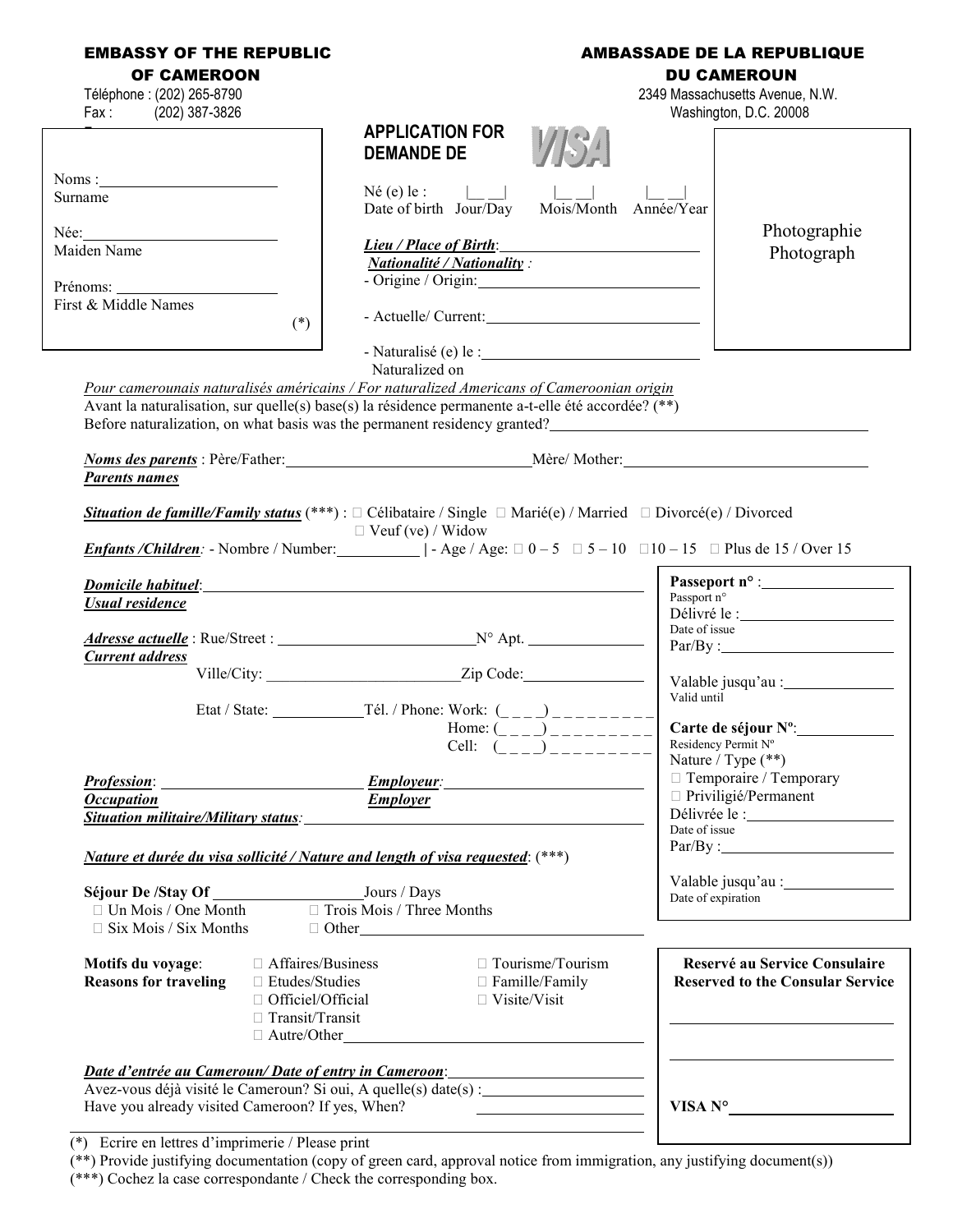| <b>EMBASSY OF THE REPUBLIC</b><br><b>OF CAMEROON</b><br>Téléphone : (202) 265-8790<br>Fax: (202) 387-3826                                                                               | <b>APPLICATION FOR</b>                                                                                                                                                                                                                                                                                                                                                                                                                                                                                                                                      | <b>AMBASSADE DE LA REPUBLIQUE</b><br><b>DU CAMEROUN</b><br>2349 Massachusetts Avenue, N.W.<br>Washington, D.C. 20008                 |
|-----------------------------------------------------------------------------------------------------------------------------------------------------------------------------------------|-------------------------------------------------------------------------------------------------------------------------------------------------------------------------------------------------------------------------------------------------------------------------------------------------------------------------------------------------------------------------------------------------------------------------------------------------------------------------------------------------------------------------------------------------------------|--------------------------------------------------------------------------------------------------------------------------------------|
| Noms:<br>Surname<br>Née:<br>Maiden Name<br>Prénoms:<br>First & Middle Names<br>$(*)$                                                                                                    | <b>DEMANDE DE</b><br>Né (e) le :<br>$Mois\overline{M}$ onth Année/Year<br>Date of birth Jour/Day<br>Lieu / Place of Birth:<br><u> 1980 - Jan Samuel Barbara, político e a f</u><br><b>Nationalité / Nationality:</b><br>- Origine / Origin:                                                                                                                                                                                                                                                                                                                 | Photographie<br>Photograph                                                                                                           |
| <b>Parents names</b>                                                                                                                                                                    | Naturalized on<br>Pour camerounais naturalisés américains / For naturalized Americans of Cameroonian origin<br>Avant la naturalisation, sur quelle(s) base(s) la résidence permanente a-t-elle été accordée? (**)<br>Before naturalization, on what basis was the permanent residency granted?<br>Noms des parents : Père/Father: Meter Mother: Mêre/Mother: Meter Mother:<br>Situation de famille/Family status (***) : $\Box$ Célibataire / Single $\Box$ Marié(e) / Married $\Box$ Divorcé(e) / Divorced<br>$\Box$ Veuf (ve) / Widow                     |                                                                                                                                      |
| <b>Domicile habituel:</b><br>Usual residence<br><b>Current</b> address                                                                                                                  | <i>Enfants/Children:</i> - Nombre / Number: $\qquad$   - Age / Age: $\Box$ 0 - 5 $\Box$ 5 - 10 $\Box$ 10 - 15 $\Box$ Plus de 15 / Over 15<br>Home: $\left(\frac{1}{1} - \frac{1}{1} - \frac{1}{1} - \frac{1}{1} - \frac{1}{1} - \frac{1}{1} - \frac{1}{1} - \frac{1}{1} - \frac{1}{1} - \frac{1}{1} - \frac{1}{1} - \frac{1}{1} - \frac{1}{1} - \frac{1}{1} - \frac{1}{1} - \frac{1}{1} - \frac{1}{1} - \frac{1}{1} - \frac{1}{1} - \frac{1}{1} - \frac{1}{1} - \frac{1}{1} - \frac{1}{1} - \frac{1}{1} - \frac{1}{1} - \frac{1}{1} - \frac{1$<br>Cell: $($ | Passport n°<br>Date of issue<br>Par/By:<br>Valid until<br>Carte de séjour $N^{\circ}$ :<br>Residency Permit N°<br>Nature / Type (**) |
| <b>Profession:</b><br><b>Occupation</b><br><i>Nature et durée du visa sollicité / Nature and length of visa requested:</i> (***)                                                        | <i><b>Employeur:</b></i><br><u> 1989 - Jan Barnett, fransk politik (</u><br><b>Employer</b><br>Situation militaire/Military status: Military Status: Annual Communisties of the Situation militaire/Military Status:                                                                                                                                                                                                                                                                                                                                        | $\Box$ Temporaire / Temporary<br>$\Box$ Priviligié/Permanent<br>Date of issue<br>Date of expiration                                  |
| $\Box$ Six Mois / Six Months<br>□ Affaires/Business<br>Motifs du voyage:<br><b>Reasons for traveling</b><br>$\Box$ Etudes/Studies<br>$\Box$ Officiel/Official<br>$\Box$ Transit/Transit | $\Box$ Other<br>$\Box$ Tourisme/Tourism<br>$\Box$ Famille/Family<br>$\Box$ Visite/Visit<br>$\Box$ Autre/Other                                                                                                                                                                                                                                                                                                                                                                                                                                               | Reservé au Service Consulaire<br><b>Reserved to the Consular Service</b>                                                             |
|                                                                                                                                                                                         | Date d'entrée au Cameroun/Date of entry in Cameroon et al. (2008)<br>Avez-vous déjà visité le Cameroun? Si oui, A quelle(s) date(s) :<br>Have you already visited Cameroon? If yes, When?                                                                                                                                                                                                                                                                                                                                                                   | VISA N <sup>o</sup>                                                                                                                  |

(\*) Ecrire en lettres d'imprimerie / Please print

(\*\*) Provide justifying documentation (copy of green card, approval notice from immigration, any justifying document(s))

(\*\*\*) Cochez la case correspondante / Check the corresponding box.